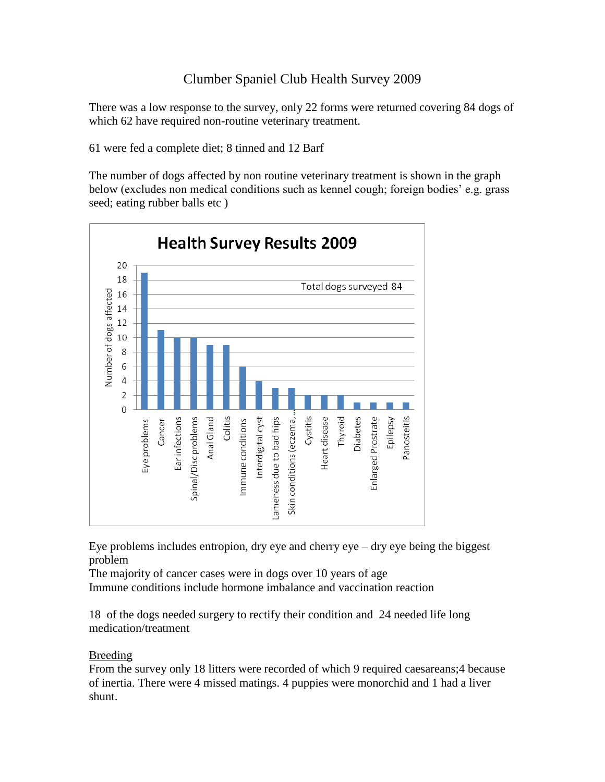## Clumber Spaniel Club Health Survey 2009

There was a low response to the survey, only 22 forms were returned covering 84 dogs of which 62 have required non-routine veterinary treatment.

61 were fed a complete diet; 8 tinned and 12 Barf

The number of dogs affected by non routine veterinary treatment is shown in the graph below (excludes non medical conditions such as kennel cough; foreign bodies' e.g. grass seed; eating rubber balls etc )



Eye problems includes entropion, dry eye and cherry  $eye - dry eye$  being the biggest problem

The majority of cancer cases were in dogs over 10 years of age Immune conditions include hormone imbalance and vaccination reaction

18 of the dogs needed surgery to rectify their condition and 24 needed life long medication/treatment

## Breeding

From the survey only 18 litters were recorded of which 9 required caesareans;4 because of inertia. There were 4 missed matings. 4 puppies were monorchid and 1 had a liver shunt.